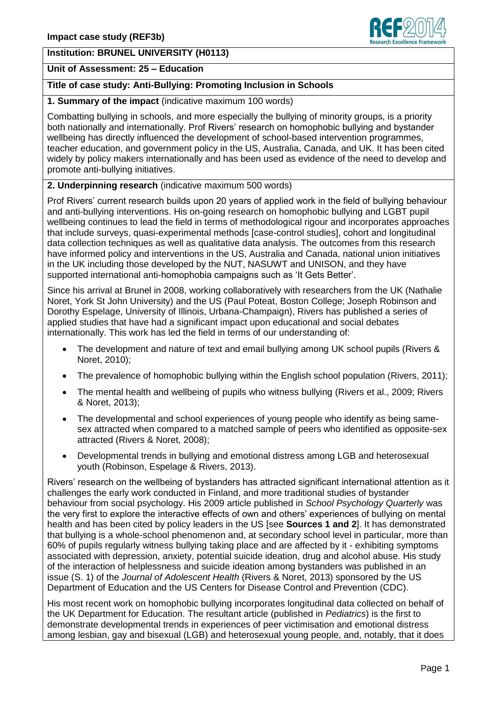# **Institution: BRUNEL UNIVERSITY (H0113)**

### **Unit of Assessment: 25 – Education**

## **Title of case study: Anti-Bullying: Promoting Inclusion in Schools**

#### **1. Summary of the impact** (indicative maximum 100 words)

Combatting bullying in schools, and more especially the bullying of minority groups, is a priority both nationally and internationally. Prof Rivers' research on homophobic bullying and bystander wellbeing has directly influenced the development of school-based intervention programmes, teacher education, and government policy in the US, Australia, Canada, and UK. It has been cited widely by policy makers internationally and has been used as evidence of the need to develop and promote anti-bullying initiatives.

## **2. Underpinning research** (indicative maximum 500 words)

Prof Rivers' current research builds upon 20 years of applied work in the field of bullying behaviour and anti-bullying interventions. His on-going research on homophobic bullying and LGBT pupil wellbeing continues to lead the field in terms of methodological rigour and incorporates approaches that include surveys, quasi-experimental methods [case-control studies], cohort and longitudinal data collection techniques as well as qualitative data analysis. The outcomes from this research have informed policy and interventions in the US, Australia and Canada, national union initiatives in the UK including those developed by the NUT, NASUWT and UNISON, and they have supported international anti-homophobia campaigns such as 'It Gets Better'.

Since his arrival at Brunel in 2008, working collaboratively with researchers from the UK (Nathalie Noret, York St John University) and the US (Paul Poteat, Boston College; Joseph Robinson and Dorothy Espelage, University of Illinois, Urbana-Champaign), Rivers has published a series of applied studies that have had a significant impact upon educational and social debates internationally. This work has led the field in terms of our understanding of:

- The development and nature of text and email bullying among UK school pupils (Rivers & Noret, 2010);
- The prevalence of homophobic bullying within the English school population (Rivers, 2011);
- The mental health and wellbeing of pupils who witness bullying (Rivers et al., 2009; Rivers & Noret, 2013);
- The developmental and school experiences of young people who identify as being samesex attracted when compared to a matched sample of peers who identified as opposite-sex attracted (Rivers & Noret, 2008);
- Developmental trends in bullying and emotional distress among LGB and heterosexual youth (Robinson, Espelage & Rivers, 2013).

Rivers' research on the wellbeing of bystanders has attracted significant international attention as it challenges the early work conducted in Finland, and more traditional studies of bystander behaviour from social psychology. His 2009 article published in *School Psychology Quarterly* was the very first to explore the interactive effects of own and others' experiences of bullying on mental health and has been cited by policy leaders in the US [see **Sources 1 and 2**]. It has demonstrated that bullying is a whole-school phenomenon and, at secondary school level in particular, more than 60% of pupils regularly witness bullying taking place and are affected by it - exhibiting symptoms associated with depression, anxiety, potential suicide ideation, drug and alcohol abuse. His study of the interaction of helplessness and suicide ideation among bystanders was published in an issue (S. 1) of the *Journal of Adolescent Health* (Rivers & Noret, 2013) sponsored by the US Department of Education and the US Centers for Disease Control and Prevention (CDC).

His most recent work on homophobic bullying incorporates longitudinal data collected on behalf of the UK Department for Education. The resultant article (published in *Pediatrics*) is the first to demonstrate developmental trends in experiences of peer victimisation and emotional distress among lesbian, gay and bisexual (LGB) and heterosexual young people, and, notably, that it does

search Excellence Framey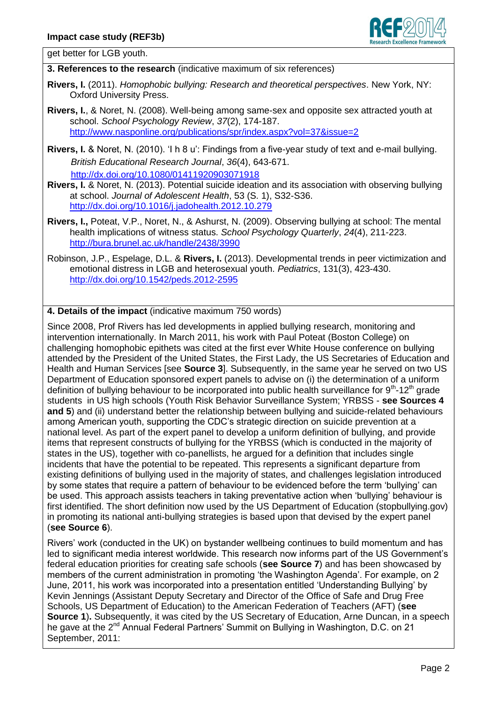

get better for LGB youth.

**3. References to the research** (indicative maximum of six references)

- **Rivers, I.** (2011). *Homophobic bullying: Research and theoretical perspectives*. New York, NY: Oxford University Press.
- **Rivers, I.**, & Noret, N. (2008). Well-being among same-sex and opposite sex attracted youth at school. *School Psychology Review*, *37*(2), 174-187. <http://www.nasponline.org/publications/spr/index.aspx?vol=37&issue=2>
- **Rivers, I.** & Noret, N. (2010). 'I h 8 u': Findings from a five-year study of text and e-mail bullying. *British Educational Research Journal*, *36*(4), 643-671. <http://dx.doi.org/10.1080/01411920903071918>
- **Rivers, I.** & Noret, N. (2013). Potential suicide ideation and its association with observing bullying at school. *Journal of Adolescent Health*, 53 (S. 1), S32-S36. <http://dx.doi.org/10.1016/j.jadohealth.2012.10.279>
- **Rivers, I.,** Poteat, V.P., Noret, N., & Ashurst, N. (2009). Observing bullying at school: The mental health implications of witness status. *School Psychology Quarterly*, *24*(4), 211-223. <http://bura.brunel.ac.uk/handle/2438/3990>
- Robinson, J.P., Espelage, D.L. & **Rivers, I.** (2013). Developmental trends in peer victimization and emotional distress in LGB and heterosexual youth. *Pediatrics*, 131(3), 423-430. <http://dx.doi.org/10.1542/peds.2012-2595>

## **4. Details of the impact** (indicative maximum 750 words)

Since 2008, Prof Rivers has led developments in applied bullying research, monitoring and intervention internationally. In March 2011, his work with Paul Poteat (Boston College) on challenging homophobic epithets was cited at the first ever White House conference on bullying attended by the President of the United States, the First Lady, the US Secretaries of Education and Health and Human Services [see **Source 3**]. Subsequently, in the same year he served on two US Department of Education sponsored expert panels to advise on (i) the determination of a uniform definition of bullying behaviour to be incorporated into public health surveillance for 9<sup>th</sup>-12<sup>th</sup> grade students in US high schools (Youth Risk Behavior Surveillance System; YRBSS - **see Sources 4 and 5**) and (ii) understand better the relationship between bullying and suicide-related behaviours among American youth, supporting the CDC's strategic direction on suicide prevention at a national level. As part of the expert panel to develop a uniform definition of bullying, and provide items that represent constructs of bullying for the YRBSS (which is conducted in the majority of states in the US), together with co-panellists, he argued for a definition that includes single incidents that have the potential to be repeated. This represents a significant departure from existing definitions of bullying used in the majority of states, and challenges legislation introduced by some states that require a pattern of behaviour to be evidenced before the term 'bullying' can be used. This approach assists teachers in taking preventative action when 'bullying' behaviour is first identified. The short definition now used by the US Department of Education (stopbullying.gov) in promoting its national anti-bullying strategies is based upon that devised by the expert panel (**see Source 6**).

Rivers' work (conducted in the UK) on bystander wellbeing continues to build momentum and has led to significant media interest worldwide. This research now informs part of the US Government's federal education priorities for creating safe schools (**see Source 7**) and has been showcased by members of the current administration in promoting 'the Washington Agenda'. For example, on 2 June, 2011, his work was incorporated into a presentation entitled 'Understanding Bullying' by Kevin Jennings (Assistant Deputy Secretary and Director of the Office of Safe and Drug Free Schools, US Department of Education) to the American Federation of Teachers (AFT) (**see Source 1).** Subsequently, it was cited by the US Secretary of Education, Arne Duncan, in a speech he gave at the 2<sup>nd</sup> Annual Federal Partners' Summit on Bullying in Washington, D.C. on 21 September, 2011: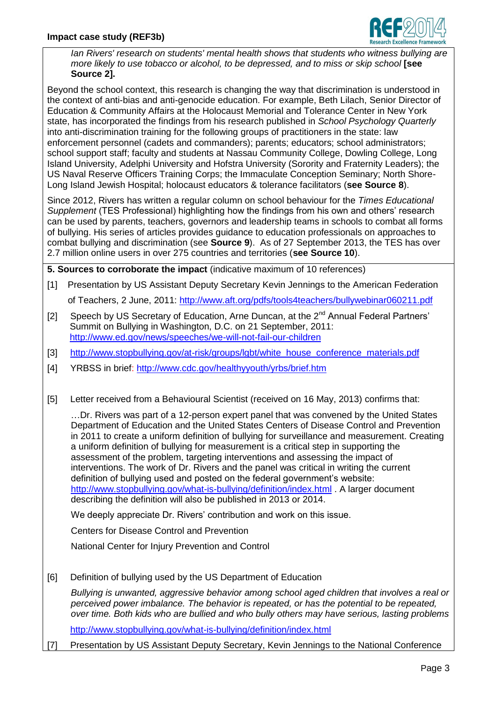

*Ian Rivers' research on students' mental health shows that students who witness bullying are more likely to use tobacco or alcohol, to be depressed, and to miss or skip school* **[see Source 2].**

Beyond the school context, this research is changing the way that discrimination is understood in the context of anti-bias and anti-genocide education. For example, Beth Lilach, Senior Director of Education & Community Affairs at the Holocaust Memorial and Tolerance Center in New York state, has incorporated the findings from his research published in *School Psychology Quarterly* into anti-discrimination training for the following groups of practitioners in the state: law enforcement personnel (cadets and commanders); parents; educators; school administrators; school support staff; faculty and students at Nassau Community College, Dowling College, Long Island University, Adelphi University and Hofstra University (Sorority and Fraternity Leaders); the US Naval Reserve Officers Training Corps; the Immaculate Conception Seminary; North Shore-Long Island Jewish Hospital; holocaust educators & tolerance facilitators (**see Source 8**).

Since 2012, Rivers has written a regular column on school behaviour for the *Times Educational Supplement* (TES Professional) highlighting how the findings from his own and others' research can be used by parents, teachers, governors and leadership teams in schools to combat all forms of bullying. His series of articles provides guidance to education professionals on approaches to combat bullying and discrimination (see **Source 9**). As of 27 September 2013, the TES has over 2.7 million online users in over 275 countries and territories (**see Source 10**).

**5. Sources to corroborate the impact** (indicative maximum of 10 references)

- [1] Presentation by US Assistant Deputy Secretary Kevin Jennings to the American Federation of Teachers, 2 June, 2011:<http://www.aft.org/pdfs/tools4teachers/bullywebinar060211.pdf>
- [2] Speech by US Secretary of Education, Arne Duncan, at the  $2^{nd}$  Annual Federal Partners' Summit on Bullying in Washington, D.C. on 21 September, 2011: <http://www.ed.gov/news/speeches/we-will-not-fail-our-children>
- [3] [http://www.stopbullying.gov/at-risk/groups/lgbt/white\\_house\\_conference\\_materials.pdf](http://www.stopbullying.gov/at-risk/groups/lgbt/white_house_conference_materials.pdf)
- [4] YRBSS in brief:<http://www.cdc.gov/healthyyouth/yrbs/brief.htm>
- [5] Letter received from a Behavioural Scientist (received on 16 May, 2013) confirms that:

…Dr. Rivers was part of a 12-person expert panel that was convened by the United States Department of Education and the United States Centers of Disease Control and Prevention in 2011 to create a uniform definition of bullying for surveillance and measurement. Creating a uniform definition of bullying for measurement is a critical step in supporting the assessment of the problem, targeting interventions and assessing the impact of interventions. The work of Dr. Rivers and the panel was critical in writing the current definition of bullying used and posted on the federal government's website: <http://www.stopbullying.gov/what-is-bullying/definition/index.html> . A larger document describing the definition will also be published in 2013 or 2014.

We deeply appreciate Dr. Rivers' contribution and work on this issue.

Centers for Disease Control and Prevention

National Center for Injury Prevention and Control

[6] Definition of bullying used by the US Department of Education

*Bullying is unwanted, aggressive behavior among school aged children that involves a real or perceived power imbalance. The behavior is repeated, or has the potential to be repeated, over time. Both kids who are bullied and who bully others may have serious, lasting problems*

<http://www.stopbullying.gov/what-is-bullying/definition/index.html>

[7] Presentation by US Assistant Deputy Secretary, Kevin Jennings to the National Conference